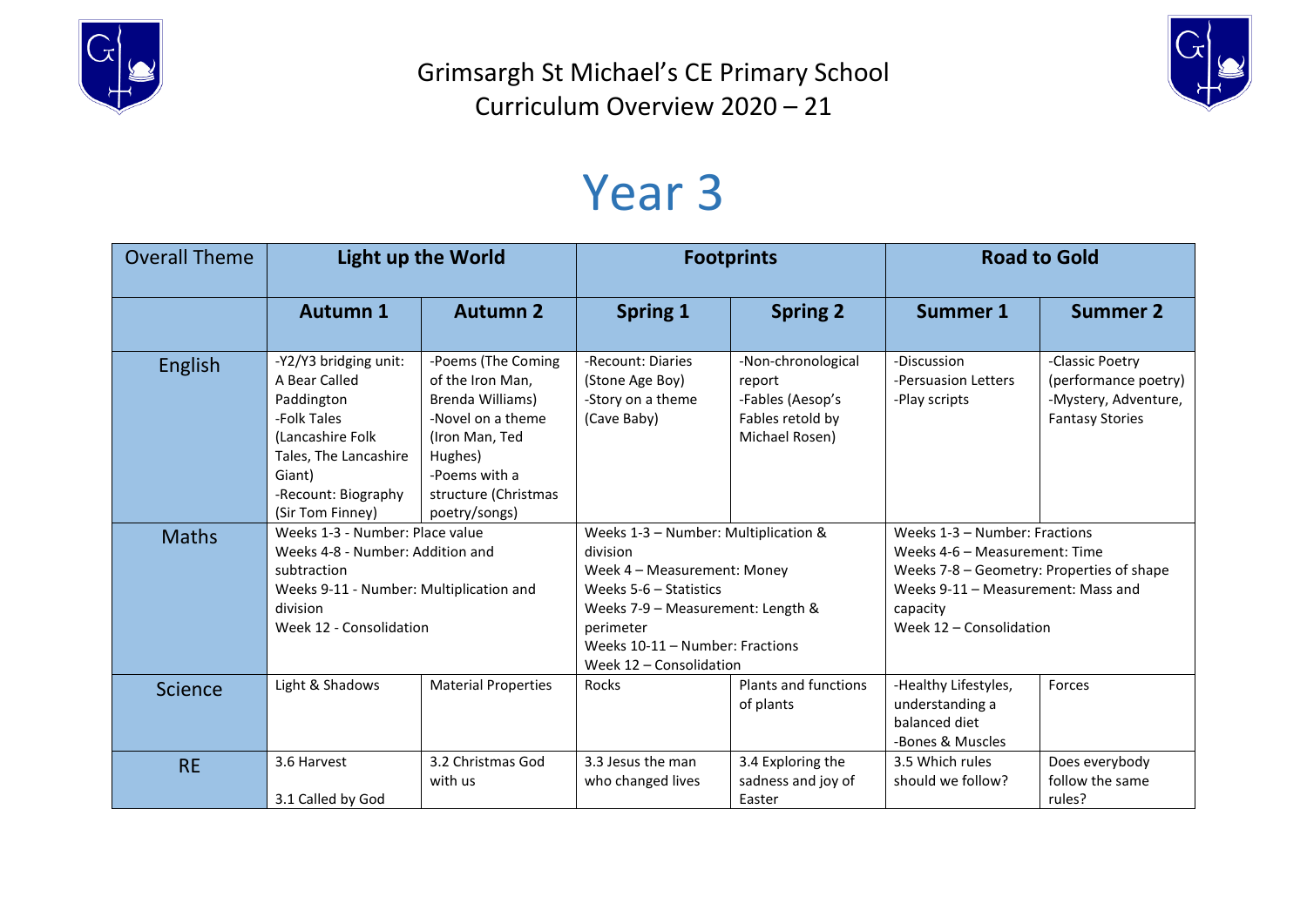

Grimsargh St Michael's CE Primary School Curriculum Overview 2020 – 21



## Year 3

| <b>Overall Theme</b> | <b>Light up the World</b>                                                                                                                                             |                                                                                                                                                                        | <b>Footprints</b>                                                                                                                                                                                                           |                                                                                        | <b>Road to Gold</b>                                                                                                                                                                      |                                                                                           |
|----------------------|-----------------------------------------------------------------------------------------------------------------------------------------------------------------------|------------------------------------------------------------------------------------------------------------------------------------------------------------------------|-----------------------------------------------------------------------------------------------------------------------------------------------------------------------------------------------------------------------------|----------------------------------------------------------------------------------------|------------------------------------------------------------------------------------------------------------------------------------------------------------------------------------------|-------------------------------------------------------------------------------------------|
|                      | <b>Autumn 1</b>                                                                                                                                                       | <b>Autumn 2</b>                                                                                                                                                        | <b>Spring 1</b>                                                                                                                                                                                                             | <b>Spring 2</b>                                                                        | <b>Summer 1</b>                                                                                                                                                                          | <b>Summer 2</b>                                                                           |
| English              | -Y2/Y3 bridging unit:<br>A Bear Called<br>Paddington<br>-Folk Tales<br>(Lancashire Folk<br>Tales, The Lancashire<br>Giant)<br>-Recount: Biography<br>(Sir Tom Finney) | -Poems (The Coming<br>of the Iron Man,<br>Brenda Williams)<br>-Novel on a theme<br>(Iron Man, Ted<br>Hughes)<br>-Poems with a<br>structure (Christmas<br>poetry/songs) | -Recount: Diaries<br>(Stone Age Boy)<br>-Story on a theme<br>(Cave Baby)                                                                                                                                                    | -Non-chronological<br>report<br>-Fables (Aesop's<br>Fables retold by<br>Michael Rosen) | -Discussion<br>-Persuasion Letters<br>-Play scripts                                                                                                                                      | -Classic Poetry<br>(performance poetry)<br>-Mystery, Adventure,<br><b>Fantasy Stories</b> |
| <b>Maths</b>         | Weeks 1-3 - Number: Place value<br>Weeks 4-8 - Number: Addition and<br>subtraction<br>Weeks 9-11 - Number: Multiplication and<br>division<br>Week 12 - Consolidation  |                                                                                                                                                                        | Weeks 1-3 - Number: Multiplication &<br>division<br>Week 4 - Measurement: Money<br>Weeks $5-6$ – Statistics<br>Weeks 7-9 - Measurement: Length &<br>perimeter<br>Weeks 10-11 - Number: Fractions<br>Week 12 - Consolidation |                                                                                        | Weeks 1-3 - Number: Fractions<br>Weeks 4-6 - Measurement: Time<br>Weeks 7-8 - Geometry: Properties of shape<br>Weeks 9-11 - Measurement: Mass and<br>capacity<br>Week 12 - Consolidation |                                                                                           |
| <b>Science</b>       | Light & Shadows                                                                                                                                                       | <b>Material Properties</b>                                                                                                                                             | Rocks                                                                                                                                                                                                                       | Plants and functions<br>of plants                                                      | -Healthy Lifestyles,<br>understanding a<br>balanced diet<br>-Bones & Muscles                                                                                                             | Forces                                                                                    |
| <b>RE</b>            | 3.6 Harvest<br>3.1 Called by God                                                                                                                                      | 3.2 Christmas God<br>with us                                                                                                                                           | 3.3 Jesus the man<br>who changed lives                                                                                                                                                                                      | 3.4 Exploring the<br>sadness and joy of<br>Easter                                      | 3.5 Which rules<br>should we follow?                                                                                                                                                     | Does everybody<br>follow the same<br>rules?                                               |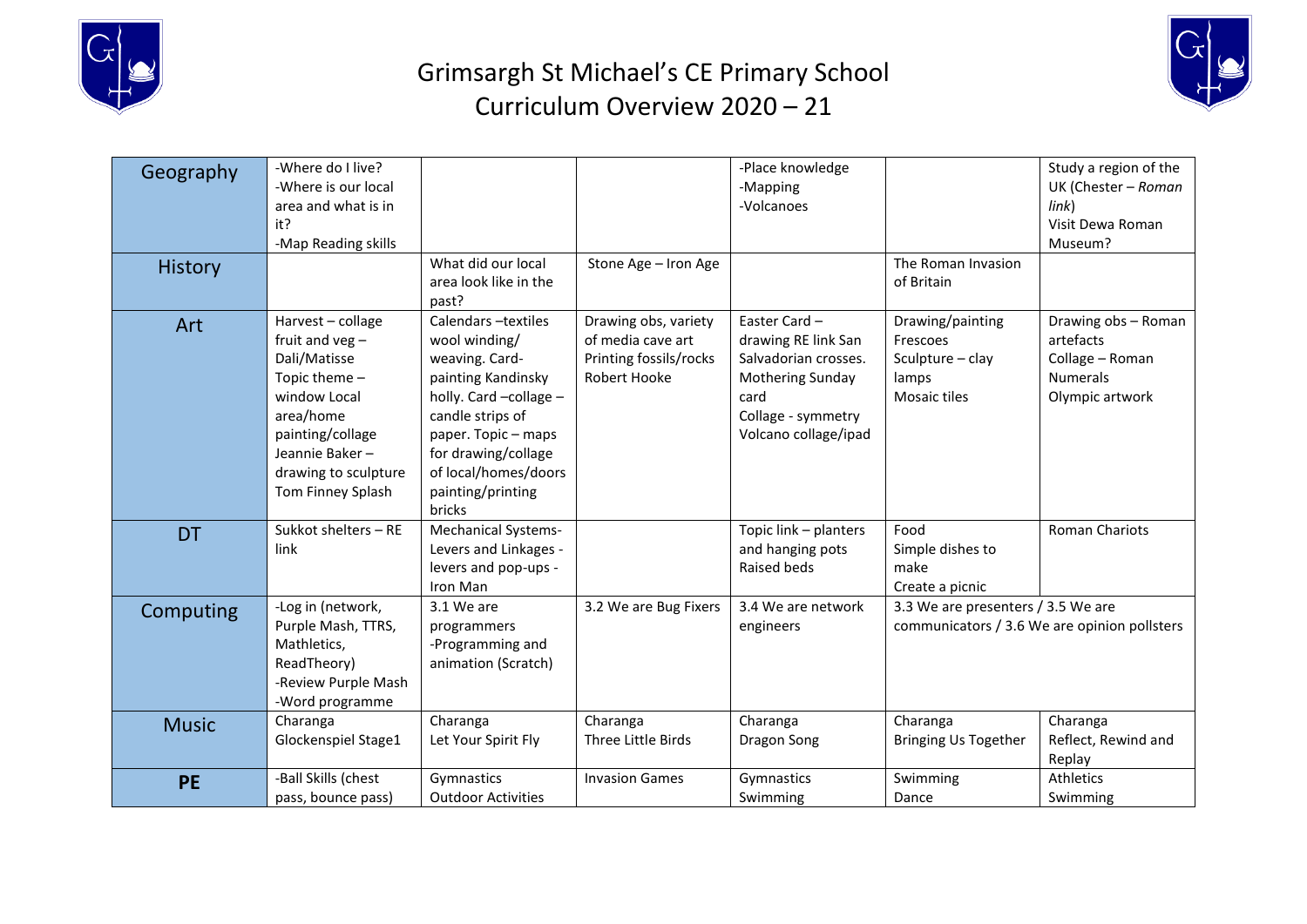

## Grimsargh St Michael's CE Primary School Curriculum Overview 2020 – 21



| Geography      | -Where do I live?<br>-Where is our local<br>area and what is in<br>it?<br>-Map Reading skills                                                                                           |                                                                                                                                                                                                                                 |                                                                                     | -Place knowledge<br>-Mapping<br>-Volcanoes                                                                                            |                                                                                    | Study a region of the<br>UK (Chester - Roman<br>link)<br>Visit Dewa Roman<br>Museum?      |
|----------------|-----------------------------------------------------------------------------------------------------------------------------------------------------------------------------------------|---------------------------------------------------------------------------------------------------------------------------------------------------------------------------------------------------------------------------------|-------------------------------------------------------------------------------------|---------------------------------------------------------------------------------------------------------------------------------------|------------------------------------------------------------------------------------|-------------------------------------------------------------------------------------------|
| <b>History</b> |                                                                                                                                                                                         | What did our local<br>area look like in the<br>past?                                                                                                                                                                            | Stone Age - Iron Age                                                                |                                                                                                                                       | The Roman Invasion<br>of Britain                                                   |                                                                                           |
| Art            | Harvest - collage<br>fruit and $veg -$<br>Dali/Matisse<br>Topic theme -<br>window Local<br>area/home<br>painting/collage<br>Jeannie Baker-<br>drawing to sculpture<br>Tom Finney Splash | Calendars -textiles<br>wool winding/<br>weaving. Card-<br>painting Kandinsky<br>holly. Card -collage -<br>candle strips of<br>paper. Topic - maps<br>for drawing/collage<br>of local/homes/doors<br>painting/printing<br>bricks | Drawing obs, variety<br>of media cave art<br>Printing fossils/rocks<br>Robert Hooke | Easter Card-<br>drawing RE link San<br>Salvadorian crosses.<br>Mothering Sunday<br>card<br>Collage - symmetry<br>Volcano collage/ipad | Drawing/painting<br>Frescoes<br>Sculpture - clay<br>lamps<br>Mosaic tiles          | Drawing obs - Roman<br>artefacts<br>Collage - Roman<br><b>Numerals</b><br>Olympic artwork |
| <b>DT</b>      | Sukkot shelters - RE<br>link                                                                                                                                                            | <b>Mechanical Systems-</b><br>Levers and Linkages -<br>levers and pop-ups -<br>Iron Man                                                                                                                                         |                                                                                     | Topic link - planters<br>and hanging pots<br>Raised beds                                                                              | Food<br>Simple dishes to<br>make<br>Create a picnic                                | Roman Chariots                                                                            |
| Computing      | -Log in (network,<br>Purple Mash, TTRS,<br>Mathletics,<br>ReadTheory)<br>-Review Purple Mash<br>-Word programme                                                                         | 3.1 We are<br>programmers<br>-Programming and<br>animation (Scratch)                                                                                                                                                            | 3.2 We are Bug Fixers                                                               | 3.4 We are network<br>engineers                                                                                                       | 3.3 We are presenters / 3.5 We are<br>communicators / 3.6 We are opinion pollsters |                                                                                           |
| <b>Music</b>   | Charanga<br>Glockenspiel Stage1                                                                                                                                                         | Charanga<br>Let Your Spirit Fly                                                                                                                                                                                                 | Charanga<br>Three Little Birds                                                      | Charanga<br>Dragon Song                                                                                                               | Charanga<br><b>Bringing Us Together</b>                                            | Charanga<br>Reflect, Rewind and<br>Replay                                                 |
| <b>PE</b>      | -Ball Skills (chest<br>pass, bounce pass)                                                                                                                                               | Gymnastics<br><b>Outdoor Activities</b>                                                                                                                                                                                         | <b>Invasion Games</b>                                                               | Gymnastics<br>Swimming                                                                                                                | Swimming<br>Dance                                                                  | Athletics<br>Swimming                                                                     |